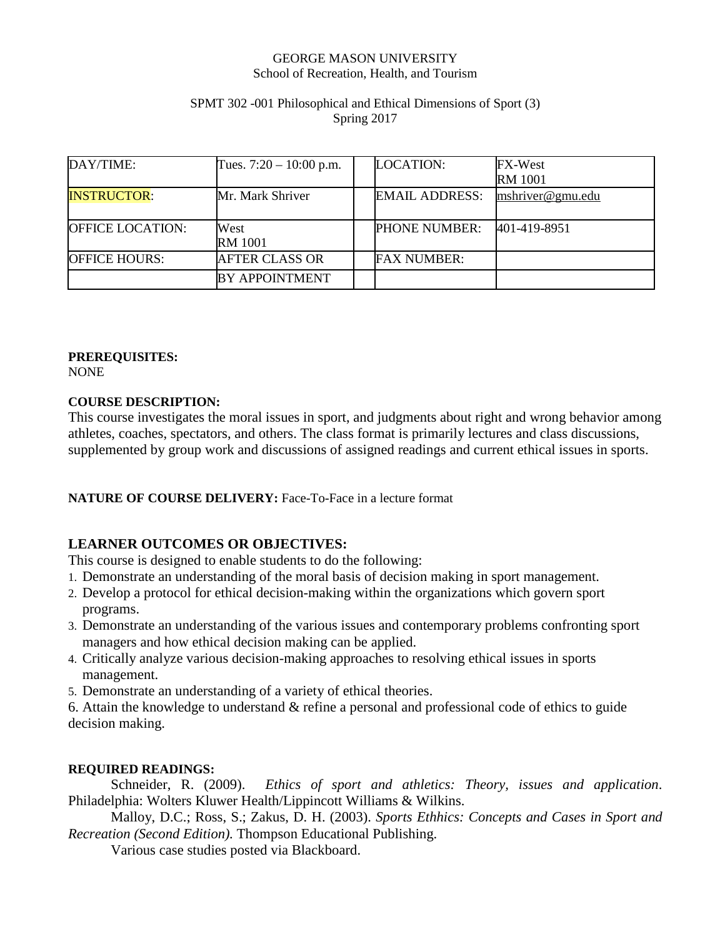### GEORGE MASON UNIVERSITY School of Recreation, Health, and Tourism

### SPMT 302 -001 Philosophical and Ethical Dimensions of Sport (3) Spring 2017

| DAY/TIME:               | Tues. $7:20 - 10:00$ p.m. | <b>LOCATION:</b>      | FX-West<br><b>RM</b> 1001 |
|-------------------------|---------------------------|-----------------------|---------------------------|
| <b>INSTRUCTOR:</b>      | Mr. Mark Shriver          | <b>EMAIL ADDRESS:</b> | mshriver@gmu.edu          |
| <b>OFFICE LOCATION:</b> | West<br><b>RM</b> 1001    | <b>PHONE NUMBER:</b>  | 401-419-8951              |
| <b>OFFICE HOURS:</b>    | <b>AFTER CLASS OR</b>     | <b>FAX NUMBER:</b>    |                           |
|                         | <b>BY APPOINTMENT</b>     |                       |                           |

## **PREREQUISITES:**

NONE

### **COURSE DESCRIPTION:**

This course investigates the moral issues in sport, and judgments about right and wrong behavior among athletes, coaches, spectators, and others. The class format is primarily lectures and class discussions, supplemented by group work and discussions of assigned readings and current ethical issues in sports.

## **NATURE OF COURSE DELIVERY:** Face-To-Face in a lecture format

# **LEARNER OUTCOMES OR OBJECTIVES:**

This course is designed to enable students to do the following:

- 1. Demonstrate an understanding of the moral basis of decision making in sport management.
- 2. Develop a protocol for ethical decision-making within the organizations which govern sport programs.
- 3. Demonstrate an understanding of the various issues and contemporary problems confronting sport managers and how ethical decision making can be applied.
- 4. Critically analyze various decision-making approaches to resolving ethical issues in sports management.
- 5. Demonstrate an understanding of a variety of ethical theories.

6. Attain the knowledge to understand & refine a personal and professional code of ethics to guide decision making.

## **REQUIRED READINGS:**

Schneider, R. (2009). *Ethics of sport and athletics: Theory, issues and application*. Philadelphia: Wolters Kluwer Health/Lippincott Williams & Wilkins.

Malloy, D.C.; Ross, S.; Zakus, D. H. (2003). *Sports Ethhics: Concepts and Cases in Sport and Recreation (Second Edition).* Thompson Educational Publishing.

Various case studies posted via Blackboard.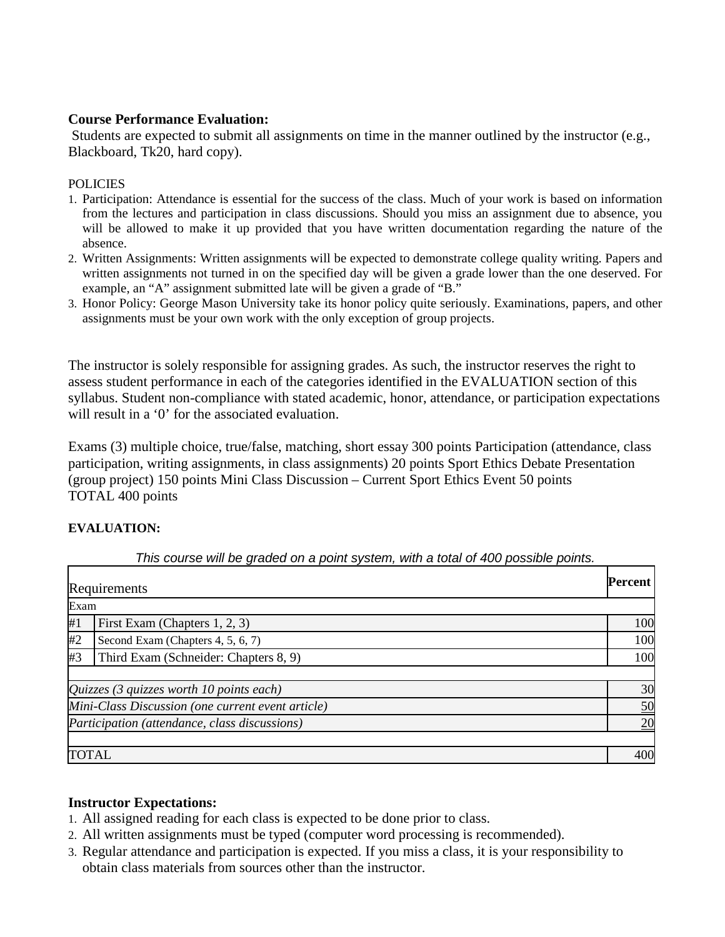## **Course Performance Evaluation:**

Students are expected to submit all assignments on time in the manner outlined by the instructor (e.g., Blackboard, Tk20, hard copy).

### **POLICIES**

- 1. Participation: Attendance is essential for the success of the class. Much of your work is based on information from the lectures and participation in class discussions. Should you miss an assignment due to absence, you will be allowed to make it up provided that you have written documentation regarding the nature of the absence.
- 2. Written Assignments: Written assignments will be expected to demonstrate college quality writing. Papers and written assignments not turned in on the specified day will be given a grade lower than the one deserved. For example, an "A" assignment submitted late will be given a grade of "B."
- 3. Honor Policy: George Mason University take its honor policy quite seriously. Examinations, papers, and other assignments must be your own work with the only exception of group projects.

The instructor is solely responsible for assigning grades. As such, the instructor reserves the right to assess student performance in each of the categories identified in the EVALUATION section of this syllabus. Student non-compliance with stated academic, honor, attendance, or participation expectations will result in a '0' for the associated evaluation.

Exams (3) multiple choice, true/false, matching, short essay 300 points Participation (attendance, class participation, writing assignments, in class assignments) 20 points Sport Ethics Debate Presentation (group project) 150 points Mini Class Discussion – Current Sport Ethics Event 50 points TOTAL 400 points

## **EVALUATION:**

| <b>Percent</b><br>Requirements                    |                                       |     |  |  |  |
|---------------------------------------------------|---------------------------------------|-----|--|--|--|
| Exam                                              |                                       |     |  |  |  |
| First Exam (Chapters 1, 2, 3)<br>#1               |                                       |     |  |  |  |
| #2                                                | Second Exam (Chapters 4, 5, 6, 7)     | 100 |  |  |  |
| #3                                                | Third Exam (Schneider: Chapters 8, 9) | 100 |  |  |  |
|                                                   |                                       |     |  |  |  |
| Quizzes (3 quizzes worth $10$ points each)        |                                       |     |  |  |  |
| Mini-Class Discussion (one current event article) |                                       |     |  |  |  |
| Participation (attendance, class discussions)     |                                       |     |  |  |  |
|                                                   |                                       |     |  |  |  |
| <b>TOTAL</b>                                      |                                       |     |  |  |  |

*This course will be graded on a point system, with a total of 400 possible points.*

#### **Instructor Expectations:**

- 1. All assigned reading for each class is expected to be done prior to class.
- 2. All written assignments must be typed (computer word processing is recommended).
- 3. Regular attendance and participation is expected. If you miss a class, it is your responsibility to obtain class materials from sources other than the instructor.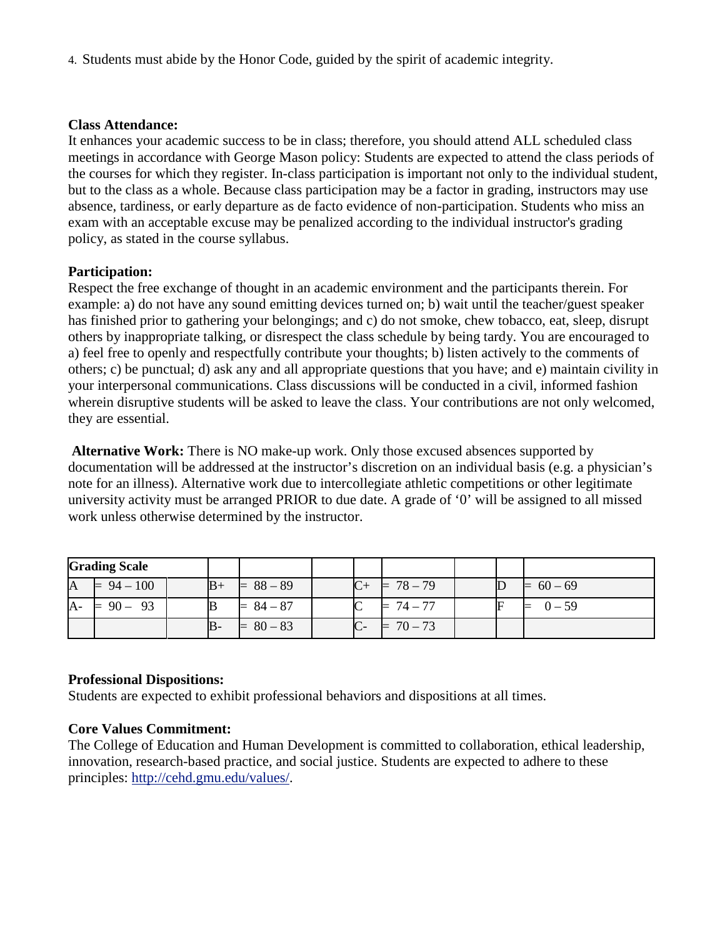4. Students must abide by the Honor Code, guided by the spirit of academic integrity.

## **Class Attendance:**

It enhances your academic success to be in class; therefore, you should attend ALL scheduled class meetings in accordance with George Mason policy: Students are expected to attend the class periods of the courses for which they register. In-class participation is important not only to the individual student, but to the class as a whole. Because class participation may be a factor in grading, instructors may use absence, tardiness, or early departure as de facto evidence of non-participation. Students who miss an exam with an acceptable excuse may be penalized according to the individual instructor's grading policy, as stated in the course syllabus.

# **Participation:**

Respect the free exchange of thought in an academic environment and the participants therein. For example: a) do not have any sound emitting devices turned on; b) wait until the teacher/guest speaker has finished prior to gathering your belongings; and c) do not smoke, chew tobacco, eat, sleep, disrupt others by inappropriate talking, or disrespect the class schedule by being tardy. You are encouraged to a) feel free to openly and respectfully contribute your thoughts; b) listen actively to the comments of others; c) be punctual; d) ask any and all appropriate questions that you have; and e) maintain civility in your interpersonal communications. Class discussions will be conducted in a civil, informed fashion wherein disruptive students will be asked to leave the class. Your contributions are not only welcomed, they are essential.

**Alternative Work:** There is NO make-up work. Only those excused absences supported by documentation will be addressed at the instructor's discretion on an individual basis (e.g. a physician's note for an illness). Alternative work due to intercollegiate athletic competitions or other legitimate university activity must be arranged PRIOR to due date. A grade of '0' will be assigned to all missed work unless otherwise determined by the instructor.

|    | <b>Grading Scale</b> |               |           |   |             |  |             |
|----|----------------------|---------------|-----------|---|-------------|--|-------------|
| A  | $= 94 - 100$         | $B+$          | $88 - 89$ |   | $= 78 - 79$ |  | $= 60 - 69$ |
| A- | -93<br>$90 -$        | B             | $84 - 87$ | ∼ | $74 - 77$   |  | $0 - 59$    |
|    |                      | $\mathbb B$ - | $80 - 83$ |   | $70 - 73$   |  |             |

# **Professional Dispositions:**

Students are expected to exhibit professional behaviors and dispositions at all times.

# **Core Values Commitment:**

The College of Education and Human Development is committed to collaboration, ethical leadership, innovation, research-based practice, and social justice. Students are expected to adhere to these principles: [http://cehd.gmu.edu/values/.](http://cehd.gmu.edu/values/)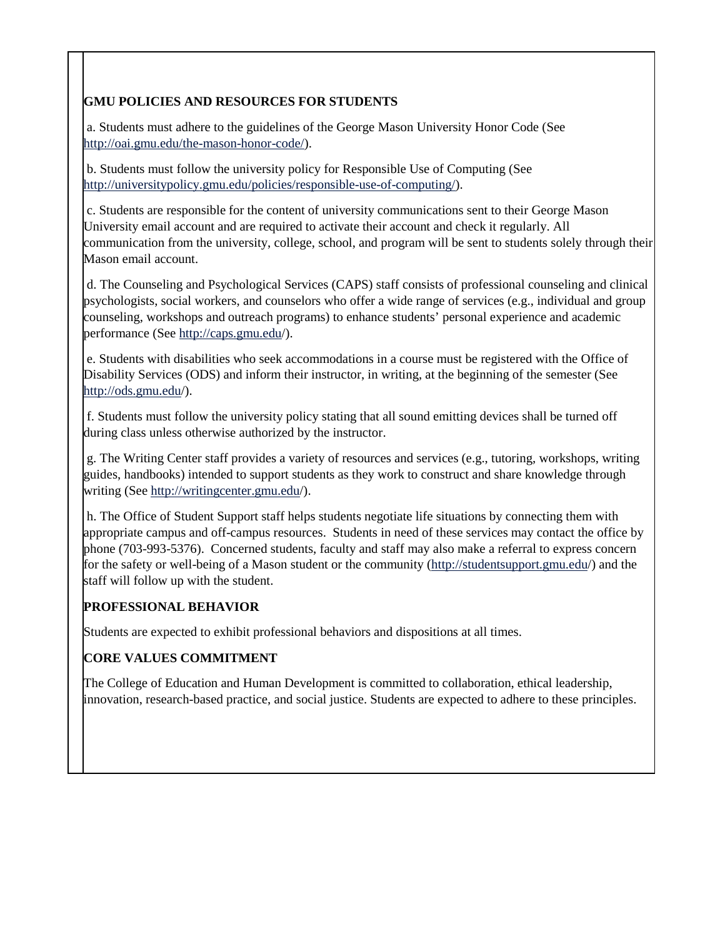## **GMU POLICIES AND RESOURCES FOR STUDENTS**

a. Students must adhere to the guidelines of the George Mason University Honor Code (See [http://oai.gmu.edu/the-mason-honor-code/\)](http://oai.gmu.edu/the-mason-honor-code/).

b. Students must follow the university policy for Responsible Use of Computing (See [http://universitypolicy.gmu.edu/policies/responsible-use-of-computing/\)](http://universitypolicy.gmu.edu/policies/responsible-use-of-computing/).

c. Students are responsible for the content of university communications sent to their George Mason University email account and are required to activate their account and check it regularly. All communication from the university, college, school, and program will be sent to students solely through their Mason email account.

d. The Counseling and Psychological Services (CAPS) staff consists of professional counseling and clinical psychologists, social workers, and counselors who offer a wide range of services (e.g., individual and group counseling, workshops and outreach programs) to enhance students' personal experience and academic performance (See<http://caps.gmu.edu/>).

e. Students with disabilities who seek accommodations in a course must be registered with the Office of Disability Services (ODS) and inform their instructor, in writing, at the beginning of the semester (See <http://ods.gmu.edu/>).

f. Students must follow the university policy stating that all sound emitting devices shall be turned off during class unless otherwise authorized by the instructor.

g. The Writing Center staff provides a variety of resources and services (e.g., tutoring, workshops, writing guides, handbooks) intended to support students as they work to construct and share knowledge through writing (See<http://writingcenter.gmu.edu/>).

h. The Office of Student Support staff helps students negotiate life situations by connecting them with appropriate campus and off-campus resources. Students in need of these services may contact the office by phone (703-993-5376). Concerned students, faculty and staff may also make a referral to express concern for the safety or well-being of a Mason student or the community [\(http://studentsupport.gmu.edu/](http://studentsupport.gmu.edu/)) and the staff will follow up with the student.

## **PROFESSIONAL BEHAVIOR**

Students are expected to exhibit professional behaviors and dispositions at all times.

# **CORE VALUES COMMITMENT**

The College of Education and Human Development is committed to collaboration, ethical leadership, innovation, research-based practice, and social justice. Students are expected to adhere to these principles.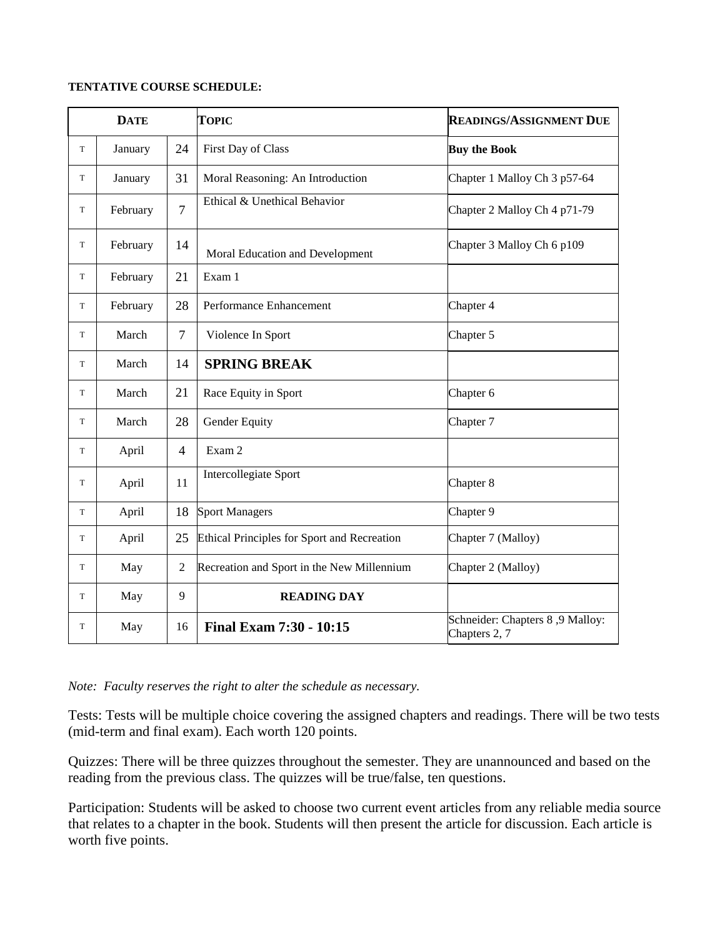#### **TENTATIVE COURSE SCHEDULE:**

| <b>DATE</b> |          |                | <b>TOPIC</b>                                       | <b>READINGS/ASSIGNMENT DUE</b>                   |  |  |
|-------------|----------|----------------|----------------------------------------------------|--------------------------------------------------|--|--|
| T           | January  | 24             | First Day of Class                                 | <b>Buy the Book</b>                              |  |  |
| T           | January  | 31             | Moral Reasoning: An Introduction                   | Chapter 1 Malloy Ch 3 p57-64                     |  |  |
| T           | February | $\overline{7}$ | Ethical & Unethical Behavior                       | Chapter 2 Malloy Ch 4 p71-79                     |  |  |
| T           | February | 14             | Moral Education and Development                    | Chapter 3 Malloy Ch 6 p109                       |  |  |
| T           | February | 21             | Exam 1                                             |                                                  |  |  |
| T           | February | 28             | Performance Enhancement                            | Chapter 4                                        |  |  |
| T           | March    | $\overline{7}$ | Violence In Sport                                  | Chapter 5                                        |  |  |
| T           | March    | 14             | <b>SPRING BREAK</b>                                |                                                  |  |  |
| T           | March    | 21             | Race Equity in Sport                               | Chapter <sub>6</sub>                             |  |  |
| T           | March    | 28             | Gender Equity                                      | Chapter 7                                        |  |  |
| T           | April    | $\overline{4}$ | Exam 2                                             |                                                  |  |  |
| T           | April    | 11             | Intercollegiate Sport                              | Chapter 8                                        |  |  |
| T           | April    | 18             | <b>Sport Managers</b>                              | Chapter 9                                        |  |  |
| T           | April    | 25             | <b>Ethical Principles for Sport and Recreation</b> | Chapter 7 (Malloy)                               |  |  |
| T           | May      | $\overline{2}$ | Recreation and Sport in the New Millennium         | Chapter 2 (Malloy)                               |  |  |
| T           | May      | 9              | <b>READING DAY</b>                                 |                                                  |  |  |
| T           | May      | 16             | Final Exam 7:30 - 10:15                            | Schneider: Chapters 8,9 Malloy:<br>Chapters 2, 7 |  |  |

*Note: Faculty reserves the right to alter the schedule as necessary.*

Tests: Tests will be multiple choice covering the assigned chapters and readings. There will be two tests (mid-term and final exam). Each worth 120 points.

Quizzes: There will be three quizzes throughout the semester. They are unannounced and based on the reading from the previous class. The quizzes will be true/false, ten questions.

Participation: Students will be asked to choose two current event articles from any reliable media source that relates to a chapter in the book. Students will then present the article for discussion. Each article is worth five points.